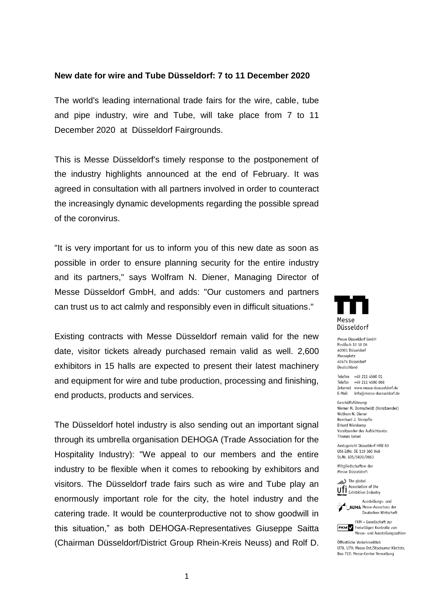## **New date for wire and Tube Düsseldorf: 7 to 11 December 2020**

The world's leading international trade fairs for the wire, cable, tube and pipe industry, wire and Tube, will take place from 7 to 11 December 2020 at Düsseldorf Fairgrounds.

This is Messe Düsseldorf's timely response to the postponement of the industry highlights announced at the end of February. It was agreed in consultation with all partners involved in order to counteract the increasingly dynamic developments regarding the possible spread of the coronvirus.

"It is very important for us to inform you of this new date as soon as possible in order to ensure planning security for the entire industry and its partners," says Wolfram N. Diener, Managing Director of Messe Düsseldorf GmbH, and adds: "Our customers and partners can trust us to act calmly and responsibly even in difficult situations."

Existing contracts with Messe Düsseldorf remain valid for the new date, visitor tickets already purchased remain valid as well. 2,600 exhibitors in 15 halls are expected to present their latest machinery and equipment for wire and tube production, processing and finishing, end products, products and services.

The Düsseldorf hotel industry is also sending out an important signal through its umbrella organisation DEHOGA (Trade Association for the Hospitality Industry): "We appeal to our members and the entire industry to be flexible when it comes to rebooking by exhibitors and visitors. The Düsseldorf trade fairs such as wire and Tube play an enormously important role for the city, the hotel industry and the catering trade. It would be counterproductive not to show goodwill in this situation," as both DEHOGA-Representatives Giuseppe Saitta (Chairman Düsseldorf/District Group Rhein-Kreis Neuss) and Rolf D.



Messe Düsseldorf GmbH Postfach 10 10 06 40001 Düsseldorf Messeplatz **40474 Dissoldorf** Deutschland

Telefon +49 211 4560 01 Telefax +49 211 4560 668 Internet www.messe-duesseldorf.de E-Mail info@messe-duesseldorf.de

Geschäftsführung: Werner M. Dornscheidt (Vorsitzender) Wolfram N. Diener Bernhard J. Stempfle **Frhard Wienkamn** Vorsitzender des Aufsichtsrats: **Thomas Geisel** 

Amtsgericht Düsseldorf HRB 63 USt-IdNr. DE 119 360 948 St.Nr. 105/5830/0663

Mitaliedschaften der Messe Düsseldorf:





FKM - Gesellschaft zur FKM Freiwilligen Kontrolle von Messe- und Ausstellungszahlen

Öffentliche Verkehrsmittel: U78, U79: Messe Ost/Stockumer Kirchstr. Bus 722: Messe-Center Verwaltung